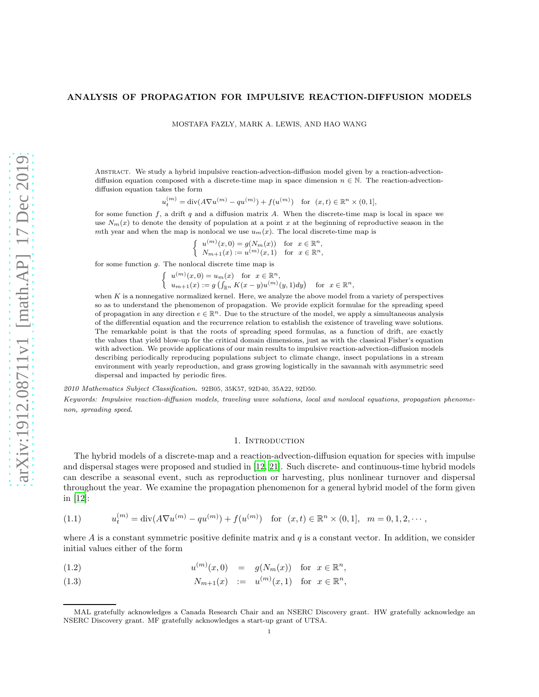# ANALYSIS OF PROPAGATION FOR IMPULSIVE REACTION-DIFFUSION MODELS

MOSTAFA FAZLY, MARK A. LEWIS, AND HAO WANG

Abstract. We study a hybrid impulsive reaction-advection-diffusion model given by a reaction-advectiondiffusion equation composed with a discrete-time map in space dimension  $n \in \mathbb{N}$ . The reaction-advectiondiffusion equation takes the form

 $u_t^{(m)} = \text{div}(A\nabla u^{(m)} - qu^{(m)}) + f(u^{(m)})$  for  $(x, t) \in \mathbb{R}^n \times (0, 1],$ 

for some function  $f$ , a drift  $q$  and a diffusion matrix  $A$ . When the discrete-time map is local in space we use  $N_m(x)$  to denote the density of population at a point x at the beginning of reproductive season in the mth year and when the map is nonlocal we use  $u_m(x)$ . The local discrete-time map is

$$
\begin{cases}\n u^{(m)}(x,0) = g(N_m(x)) & \text{for } x \in \mathbb{R}^n, \\
N_{m+1}(x) := u^{(m)}(x,1) & \text{for } x \in \mathbb{R}^n,\n\end{cases}
$$

for some function  $g$ . The nonlocal discrete time map is

 $\int u^{(m)}(x,0) = u_m(x)$  for  $x \in \mathbb{R}^n$ ,  $u_{m+1}(x) := g\left(\int_{\mathbb{R}^n} K(x-y)u^{(m)}(y,1)dy\right)$  for  $x \in \mathbb{R}^n$ ,

when  $K$  is a nonnegative normalized kernel. Here, we analyze the above model from a variety of perspectives so as to understand the phenomenon of propagation. We provide explicit formulae for the spreading speed of propagation in any direction  $e \in \mathbb{R}^n$ . Due to the structure of the model, we apply a simultaneous analysis of the differential equation and the recurrence relation to establish the existence of traveling wave solutions. The remarkable point is that the roots of spreading speed formulas, as a function of drift, are exactly the values that yield blow-up for the critical domain dimensions, just as with the classical Fisher's equation with advection. We provide applications of our main results to impulsive reaction-advection-diffusion models describing periodically reproducing populations subject to climate change, insect populations in a stream environment with yearly reproduction, and grass growing logistically in the savannah with asymmetric seed dispersal and impacted by periodic fires.

2010 Mathematics Subject Classification. 92B05, 35K57, 92D40, 35A22, 92D50. Keywords: Impulsive reaction-diffusion models, traveling wave solutions, local and nonlocal equations, propagation phenomenon, spreading speed.

#### 1. Introduction

The hybrid models of a discrete-map and a reaction-advection-diffusion equation for species with impulse and dispersal stages were proposed and studied in [\[12,](#page-16-0) [21](#page-17-0)]. Such discrete- and continuous-time hybrid models can describe a seasonal event, such as reproduction or harvesting, plus nonlinear turnover and dispersal throughout the year. We examine the propagation phenomenon for a general hybrid model of the form given in [\[12](#page-16-0)]:

<span id="page-0-0"></span>(1.1) 
$$
u_t^{(m)} = \text{div}(A\nabla u^{(m)} - qu^{(m)}) + f(u^{(m)}) \text{ for } (x, t) \in \mathbb{R}^n \times (0, 1], m = 0, 1, 2, \cdots,
$$

where  $A$  is a constant symmetric positive definite matrix and  $q$  is a constant vector. In addition, we consider initial values either of the form

<span id="page-0-1"></span>(1.2) 
$$
u^{(m)}(x,0) = g(N_m(x))
$$
 for  $x \in \mathbb{R}^n$ ,

(1.3)  $N_{m+1}(x) := u^{(m)}(x, 1) \text{ for } x \in \mathbb{R}^n,$ 

MAL gratefully acknowledges a Canada Research Chair and an NSERC Discovery grant. HW gratefully acknowledge an NSERC Discovery grant. MF gratefully acknowledges a start-up grant of UTSA.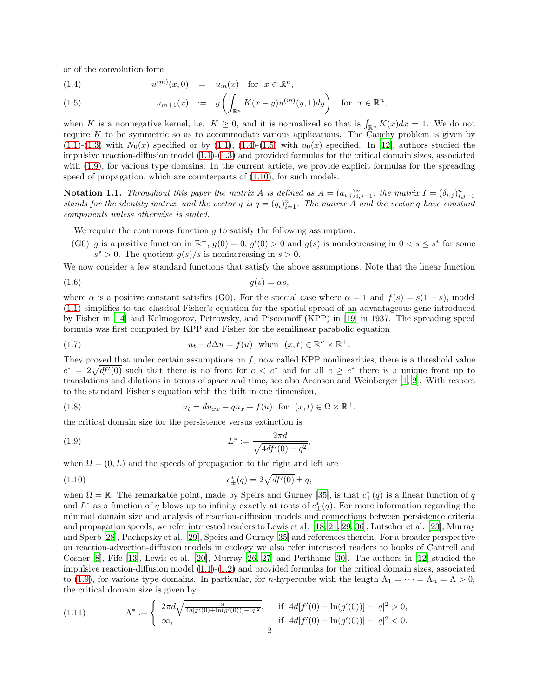or of the convolution form

<span id="page-1-0"></span>(1.4) 
$$
u^{(m)}(x,0) = u_m(x)
$$
 for  $x \in \mathbb{R}^n$ ,

(1.5) 
$$
u_{m+1}(x) := g\left(\int_{\mathbb{R}^n} K(x-y)u^{(m)}(y,1)dy\right) \text{ for } x \in \mathbb{R}^n,
$$

when K is a nonnegative kernel, i.e.  $K \geq 0$ , and it is normalized so that is  $\int_{\mathbb{R}^n} K(x) dx = 1$ . We do not require  $K$  to be symmetric so as to accommodate various applications. The Cauchy problem is given by  $(1.1)-(1.3)$  $(1.1)-(1.3)$  $(1.1)-(1.3)$  with  $N_0(x)$  specified or by  $(1.1), (1.4)-(1.5)$  $(1.1), (1.4)-(1.5)$  $(1.1), (1.4)-(1.5)$  $(1.1), (1.4)-(1.5)$  with  $u_0(x)$  specified. In [\[12\]](#page-16-0), authors studied the impulsive reaction-diffusion model [\(1.1\)](#page-0-0)-[\(1.3\)](#page-0-1) and provided formulas for the critical domain sizes, associated with [\(1.9\)](#page-1-1), for various type domains. In the current article, we provide explicit formulas for the spreading speed of propagation, which are counterparts of [\(1.10\)](#page-1-2), for such models.

**Notation 1.1.** Throughout this paper the matrix A is defined as  $A = (a_{i,j})_{i,j=1}^n$ , the matrix  $I = (\delta_{i,j})_{i,j=1}^n$ <br>stands for the identity matrix, and the vector q is  $q = (q_i)_{i=1}^n$ . The matrix A and the vector q have co components unless otherwise is stated.

We require the continuous function  $g$  to satisfy the following assumption:

(G0) g is a positive function in  $\mathbb{R}^+$ ,  $g(0) = 0$ ,  $g'(0) > 0$  and  $g(s)$  is nondecreasing in  $0 < s \leq s^*$  for some  $s^* > 0$ . The quotient  $g(s)/s$  is nonincreasing in  $s > 0$ .

We now consider a few standard functions that satisfy the above assumptions. Note that the linear function

$$
(1.6) \t\t g(s) = \alpha s,
$$

where  $\alpha$  is a positive constant satisfies (G0). For the special case where  $\alpha = 1$  and  $f(s) = s(1-s)$ , model [\(1.1\)](#page-0-0) simplifies to the classical Fisher's equation for the spatial spread of an advantageous gene introduced by Fisher in [\[14\]](#page-16-1) and Kolmogorov, Petrowsky, and Piscounoff (KPP) in [\[19](#page-17-1)] in 1937. The spreading speed formula was first computed by KPP and Fisher for the semilinear parabolic equation

(1.7) 
$$
u_t - d\Delta u = f(u) \text{ when } (x, t) \in \mathbb{R}^n \times \mathbb{R}^+.
$$

They proved that under certain assumptions on f, now called KPP nonlinearities, there is a threshold value  $c^* = 2\sqrt{df'(0)}$  such that there is no front for  $c < c^*$  and for all  $c \ge c^*$  there is a unique front up to translations and dilations in terms of space and time, see also Aronson and Weinberger [\[1,](#page-16-2) [2\]](#page-16-3). With respect to the standard Fisher's equation with the drift in one dimension,

(1.8) 
$$
u_t = du_{xx} - qu_x + f(u) \text{ for } (x, t) \in \Omega \times \mathbb{R}^+,
$$

the critical domain size for the persistence versus extinction is

<span id="page-1-1"></span>(1.9) 
$$
L^* := \frac{2\pi d}{\sqrt{4df'(0) - q^2}},
$$

when  $\Omega = (0, L)$  and the speeds of propagation to the right and left are

<span id="page-1-2"></span>(1.10) 
$$
c_{\pm}^{*}(q) = 2\sqrt{df'(0)} \pm q,
$$

when  $\Omega = \mathbb{R}$ . The remarkable point, made by Speirs and Gurney [\[35\]](#page-17-2), is that  $c^*_{\pm}(q)$  is a linear function of q and  $L^*$  as a function of q blows up to infinity exactly at roots of  $c^*_{\pm}(q)$ . For more information regarding the minimal domain size and analysis of reaction-diffusion models and connections between persistence criteria and propagation speeds, we refer interested readers to Lewis et al. [\[18](#page-16-4), [21](#page-17-0), [29,](#page-17-3) [36\]](#page-17-4), Lutscher et al. [\[23\]](#page-17-5), Murray and Sperb [\[28\]](#page-17-6), Pachepsky et al. [\[29](#page-17-3)], Speirs and Gurney [\[35\]](#page-17-2) and references therein. For a broader perspective on reaction-advection-diffusion models in ecology we also refer interested readers to books of Cantrell and Cosner [\[8](#page-16-5)], Fife [\[13\]](#page-16-6), Lewis et al. [\[20\]](#page-17-7), Murray [\[26](#page-17-8), [27\]](#page-17-9) and Perthame [\[30](#page-17-10)]. The authors in [\[12\]](#page-16-0) studied the impulsive reaction-diffusion model [\(1.1\)](#page-0-0)-[\(1.2\)](#page-0-1) and provided formulas for the critical domain sizes, associated to [\(1.9\)](#page-1-1), for various type domains. In particular, for *n*-hypercube with the length  $\Lambda_1 = \cdots = \Lambda_n = \Lambda > 0$ , the critical domain size is given by

<span id="page-1-3"></span>(1.11) 
$$
\Lambda^* := \begin{cases} 2\pi d \sqrt{\frac{n}{4d[f'(0) + \ln(g'(0))] - |q|^2}}, & \text{if } 4d[f'(0) + \ln(g'(0))] - |q|^2 > 0, \\ \infty, & \text{if } 4d[f'(0) + \ln(g'(0))] - |q|^2 < 0. \end{cases}
$$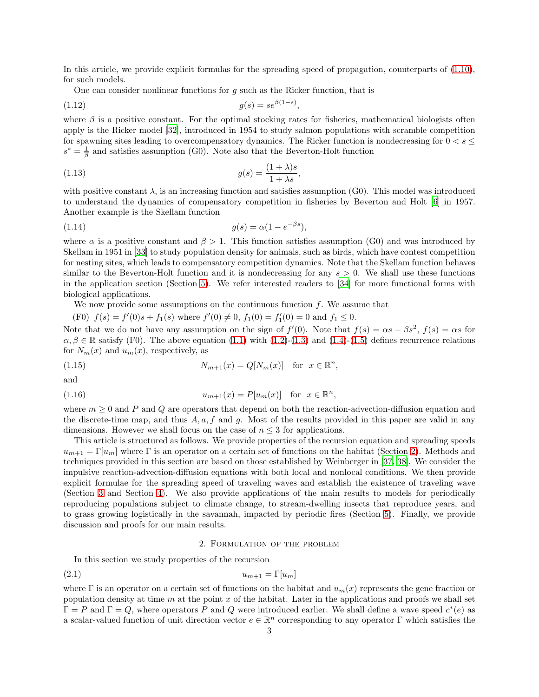In this article, we provide explicit formulas for the spreading speed of propagation, counterparts of [\(1.10\)](#page-1-2), for such models.

One can consider nonlinear functions for  $q$  such as the Ricker function, that is

$$
(1.12)\qquad \qquad g(s) = s e^{\beta(1-s)},
$$

where  $\beta$  is a positive constant. For the optimal stocking rates for fisheries, mathematical biologists often apply is the Ricker model [\[32\]](#page-17-11), introduced in 1954 to study salmon populations with scramble competition for spawning sites leading to overcompensatory dynamics. The Ricker function is nondecreasing for  $0 < s \leq$  $s^* = \frac{1}{\beta}$  and satisfies assumption (G0). Note also that the Beverton-Holt function

(1.13) 
$$
g(s) = \frac{(1+\lambda)s}{1+\lambda s},
$$

with positive constant  $\lambda$ , is an increasing function and satisfies assumption (G0). This model was introduced to understand the dynamics of compensatory competition in fisheries by Beverton and Holt [\[6](#page-16-7)] in 1957. Another example is the Skellam function

$$
(1.14) \t\t g(s) = \alpha (1 - e^{-\beta s}),
$$

where  $\alpha$  is a positive constant and  $\beta > 1$ . This function satisfies assumption (G0) and was introduced by Skellam in 1951 in [\[33](#page-17-12)] to study population density for animals, such as birds, which have contest competition for nesting sites, which leads to compensatory competition dynamics. Note that the Skellam function behaves similar to the Beverton-Holt function and it is nondecreasing for any  $s > 0$ . We shall use these functions in the application section (Section [5\)](#page-9-0). We refer interested readers to [\[34](#page-17-13)] for more functional forms with biological applications.

We now provide some assumptions on the continuous function  $f$ . We assume that

(F0)  $f(s) = f'(0)s + f_1(s)$  where  $f'(0) \neq 0$ ,  $f_1(0) = f'_1(0) = 0$  and  $f_1 \leq 0$ .

Note that we do not have any assumption on the sign of  $f'(0)$ . Note that  $f(s) = \alpha s - \beta s^2$ ,  $f(s) = \alpha s$  for  $\alpha, \beta \in \mathbb{R}$  satisfy (F0). The above equation [\(1.1\)](#page-0-0) with [\(1.2\)](#page-0-1)-[\(1.3\)](#page-0-1) and [\(1.4\)](#page-1-0)-[\(1.5\)](#page-1-0) defines recurrence relations for  $N_m(x)$  and  $u_m(x)$ , respectively, as

<span id="page-2-2"></span>(1.15) 
$$
N_{m+1}(x) = Q[N_m(x)] \text{ for } x \in \mathbb{R}^n,
$$

and

<span id="page-2-3"></span>(1.16) 
$$
u_{m+1}(x) = P[u_m(x)] \text{ for } x \in \mathbb{R}^n,
$$

where  $m \geq 0$  and P and Q are operators that depend on both the reaction-advection-diffusion equation and the discrete-time map, and thus  $A, a, f$  and g. Most of the results provided in this paper are valid in any dimensions. However we shall focus on the case of  $n \leq 3$  for applications.

This article is structured as follows. We provide properties of the recursion equation and spreading speeds  $u_{m+1} = \Gamma[u_m]$  where  $\Gamma$  is an operator on a certain set of functions on the habitat (Section [2\)](#page-2-0). Methods and techniques provided in this section are based on those established by Weinberger in [\[37,](#page-17-14) [38\]](#page-17-15). We consider the impulsive reaction-advection-diffusion equations with both local and nonlocal conditions. We then provide explicit formulae for the spreading speed of traveling waves and establish the existence of traveling wave (Section [3](#page-4-0) and Section [4\)](#page-7-0). We also provide applications of the main results to models for periodically reproducing populations subject to climate change, to stream-dwelling insects that reproduce years, and to grass growing logistically in the savannah, impacted by periodic fires (Section [5\)](#page-9-0). Finally, we provide discussion and proofs for our main results.

# <span id="page-2-1"></span>2. Formulation of the problem

<span id="page-2-0"></span>In this section we study properties of the recursion

$$
(2.1) \t\t\t u_{m+1} = \Gamma[u_m]
$$

where Γ is an operator on a certain set of functions on the habitat and  $u_m(x)$  represents the gene fraction or population density at time  $m$  at the point  $x$  of the habitat. Later in the applications and proofs we shall set  $\Gamma = P$  and  $\Gamma = Q$ , where operators P and Q were introduced earlier. We shall define a wave speed  $c^*(e)$  as a scalar-valued function of unit direction vector  $e \in \mathbb{R}^n$  corresponding to any operator  $\Gamma$  which satisfies the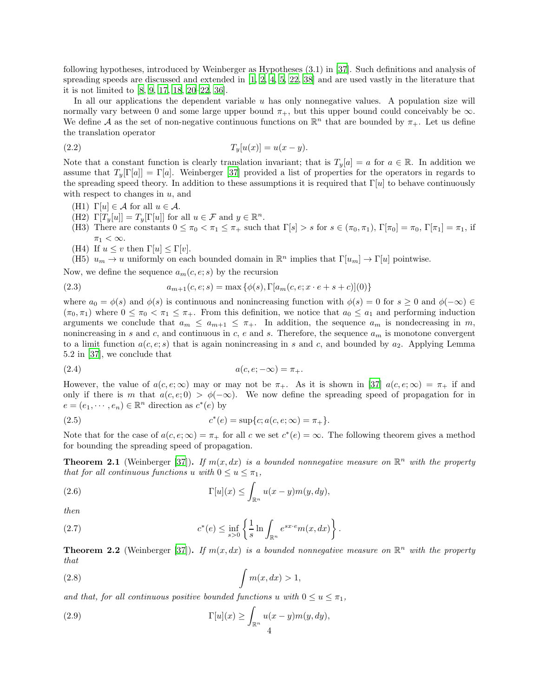following hypotheses, introduced by Weinberger as Hypotheses (3.1) in [\[37](#page-17-14)]. Such definitions and analysis of spreading speeds are discussed and extended in [\[1,](#page-16-2) [2,](#page-16-3) [4,](#page-16-8) [5,](#page-16-9) [22](#page-17-16), [38](#page-17-15)] and are used vastly in the literature that it is not limited to [\[8](#page-16-5), [9](#page-16-10), [17,](#page-16-11) [18,](#page-16-4) [20](#page-17-7)[–22,](#page-17-16) [36\]](#page-17-4).

In all our applications the dependent variable  $u$  has only nonnegative values. A population size will normally vary between 0 and some large upper bound  $\pi_{+}$ , but this upper bound could conceivably be  $\infty$ . We define A as the set of non-negative continuous functions on  $\mathbb{R}^n$  that are bounded by  $\pi_+$ . Let us define the translation operator

(2.2) 
$$
T_y[u(x)] = u(x - y).
$$

Note that a constant function is clearly translation invariant; that is  $T_y[a] = a$  for  $a \in \mathbb{R}$ . In addition we assume that  $T_u[\Gamma[a]] = \Gamma[a]$ . Weinberger [\[37](#page-17-14)] provided a list of properties for the operators in regards to the spreading speed theory. In addition to these assumptions it is required that  $\Gamma[u]$  to behave continuously with respect to changes in  $u$ , and

- (H1)  $\Gamma[u] \in \mathcal{A}$  for all  $u \in \mathcal{A}$ .
- $(H2) \Gamma[T_y[u]] = T_y[\Gamma[u]]$  for all  $u \in \mathcal{F}$  and  $y \in \mathbb{R}^n$ .
- (H3) There are constants  $0 \leq \pi_0 < \pi_1 \leq \pi_+$  such that  $\Gamma[s] > s$  for  $s \in (\pi_0, \pi_1)$ ,  $\Gamma[\pi_0] = \pi_0$ ,  $\Gamma[\pi_1] = \pi_1$ , if  $\pi_1 < \infty$ .
- (H4) If  $u \leq v$  then  $\Gamma[u] \leq \Gamma[v]$ .

(H5)  $u_m \to u$  uniformly on each bounded domain in  $\mathbb{R}^n$  implies that  $\Gamma[u_m] \to \Gamma[u]$  pointwise.

Now, we define the sequence  $a_m(c, e; s)$  by the recursion

(2.3) 
$$
a_{m+1}(c, e; s) = \max \{ \phi(s), \Gamma[a_m(c, e; x \cdot e + s + c)](0) \}
$$

where  $a_0 = \phi(s)$  and  $\phi(s)$  is continuous and nonincreasing function with  $\phi(s) = 0$  for  $s \geq 0$  and  $\phi(-\infty) \in$  $(\pi_0, \pi_1)$  where  $0 \leq \pi_0 < \pi_1 \leq \pi_+$ . From this definition, we notice that  $a_0 \leq a_1$  and performing induction arguments we conclude that  $a_m \le a_{m+1} \le \pi_+$ . In addition, the sequence  $a_m$  is nondecreasing in m, nonincreasing in s and c, and continuous in c, e and s. Therefore, the sequence  $a_m$  is monotone convergent to a limit function  $a(c, e; s)$  that is again nonincreasing in s and c, and bounded by  $a_2$ . Applying Lemma 5.2 in [\[37\]](#page-17-14), we conclude that

$$
(2.4) \qquad \qquad a(c, e; -\infty) = \pi_+.
$$

However, the value of  $a(c, e; \infty)$  may or may not be  $\pi_+$ . As it is shown in [\[37](#page-17-14)]  $a(c, e; \infty) = \pi_+$  if and only if there is m that  $a(c, e; 0) > \phi(-\infty)$ . We now define the spreading speed of propagation for in  $e = (e_1, \dots, e_n) \in \mathbb{R}^n$  direction as  $c^*(e)$  by

(2.5) 
$$
c^*(e) = \sup\{c; a(c, e; \infty) = \pi_+\}.
$$

Note that for the case of  $a(c, e; \infty) = \pi_+$  for all c we set  $c^*(e) = \infty$ . The following theorem gives a method for bounding the spreading speed of propagation.

<span id="page-3-0"></span>**Theorem 2.1** (Weinberger [\[37\]](#page-17-14)). If  $m(x, dx)$  is a bounded nonnegative measure on  $\mathbb{R}^n$  with the property that for all continuous functions u with  $0 \le u \le \pi_1$ ,

(2.6) 
$$
\Gamma[u](x) \leq \int_{\mathbb{R}^n} u(x-y)m(y,dy),
$$

then

(2.7) 
$$
c^*(e) \leq \inf_{s>0} \left\{ \frac{1}{s} \ln \int_{\mathbb{R}^n} e^{sx \cdot e} m(x, dx) \right\}.
$$

<span id="page-3-1"></span>**Theorem 2.2** (Weinberger [\[37\]](#page-17-14)). If  $m(x, dx)$  is a bounded nonnegative measure on  $\mathbb{R}^n$  with the property that

$$
\int m(x, dx) > 1,
$$

and that, for all continuous positive bounded functions u with  $0 \le u \le \pi_1$ ,

(2.9) 
$$
\Gamma[u](x) \geq \int_{\mathbb{R}^n} u(x-y)m(y,dy),
$$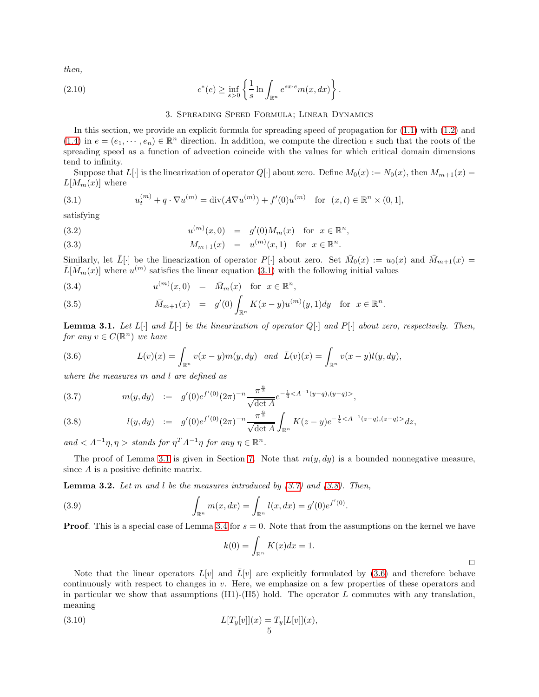then,

<span id="page-4-0"></span>(2.10) 
$$
c^*(e) \geq \inf_{s>0} \left\{ \frac{1}{s} \ln \int_{\mathbb{R}^n} e^{sx \cdot e} m(x, dx) \right\}.
$$

## <span id="page-4-6"></span>3. Spreading Speed Formula; Linear Dynamics

In this section, we provide an explicit formula for spreading speed of propagation for [\(1.1\)](#page-0-0) with [\(1.2\)](#page-0-1) and [\(1.4\)](#page-1-0) in  $e = (e_1, \dots, e_n) \in \mathbb{R}^n$  direction. In addition, we compute the direction e such that the roots of the spreading speed as a function of advection coincide with the values for which critical domain dimensions tend to infinity.

Suppose that  $L[\cdot]$  is the linearization of operator  $Q[\cdot]$  about zero. Define  $M_0(x) := N_0(x)$ , then  $M_{m+1}(x) =$  $L[M_m(x)]$  where

<span id="page-4-1"></span>(3.1) 
$$
u_t^{(m)} + q \cdot \nabla u^{(m)} = \text{div}(A\nabla u^{(m)}) + f'(0)u^{(m)} \text{ for } (x, t) \in \mathbb{R}^n \times (0, 1],
$$

satisfying

(3.2) 
$$
u^{(m)}(x,0) = g'(0)M_m(x) \text{ for } x \in \mathbb{R}^n,
$$

(3.3) 
$$
M_{m+1}(x) = u^{(m)}(x,1) \text{ for } x \in \mathbb{R}^n.
$$

Similarly, let  $\overline{L}[\cdot]$  be the linearization of operator  $P[\cdot]$  about zero. Set  $\overline{M}_0(x) := u_0(x)$  and  $\overline{M}_{m+1}(x) =$  $\bar{L}[\bar{M}_m(x)]$  where  $u^{(m)}$  satisfies the linear equation [\(3.1\)](#page-4-1) with the following initial values

<span id="page-4-7"></span>(3.4) 
$$
u^{(m)}(x,0) = \bar{M}_m(x)
$$
 for  $x \in \mathbb{R}^n$ ,

(3.5) 
$$
\bar{M}_{m+1}(x) = g'(0) \int_{\mathbb{R}^n} K(x-y) u^{(m)}(y,1) dy \text{ for } x \in \mathbb{R}^n.
$$

<span id="page-4-2"></span>**Lemma 3.1.** Let  $L[\cdot]$  and  $\overline{L}[\cdot]$  be the linearization of operator  $Q[\cdot]$  and  $P[\cdot]$  about zero, respectively. Then, for any  $v \in C(\mathbb{R}^n)$  we have

<span id="page-4-4"></span>(3.6) 
$$
L(v)(x) = \int_{\mathbb{R}^n} v(x - y) m(y, dy) \text{ and } \bar{L}(v)(x) = \int_{\mathbb{R}^n} v(x - y) l(y, dy),
$$

where the measures m and l are defined as

<span id="page-4-3"></span>(3.7) 
$$
m(y, dy) := g'(0)e^{f'(0)}(2\pi)^{-n}\frac{\pi^{\frac{n}{2}}}{\sqrt{\det A}}e^{-\frac{1}{4}},
$$

(3.8) 
$$
l(y, dy) := g'(0)e^{f'(0)}(2\pi)^{-n}\frac{\pi^{\frac{n}{2}}}{\sqrt{\det A}}\int_{\mathbb{R}^n}K(z-y)e^{-\frac{1}{4}}dz,
$$

and  $\langle A^{-1}\eta, \eta \rangle$  stands for  $\eta^T A^{-1}\eta$  for any  $\eta \in \mathbb{R}^n$ .

The proof of Lemma [3.1](#page-4-2) is given in Section [7.](#page-12-0) Note that  $m(y, dy)$  is a bounded nonnegative measure, since A is a positive definite matrix.

<span id="page-4-5"></span>**Lemma 3.2.** Let m and l be the measures introduced by  $(3.7)$  and  $(3.8)$ . Then,

(3.9) 
$$
\int_{\mathbb{R}^n} m(x, dx) = \int_{\mathbb{R}^n} l(x, dx) = g'(0)e^{f'(0)}.
$$

**Proof.** This is a special case of Lemma [3.4](#page-5-0) for  $s = 0$ . Note that from the assumptions on the kernel we have

$$
k(0) = \int_{\mathbb{R}^n} K(x)dx = 1.
$$

 $\Box$ 

Note that the linear operators  $L[v]$  and  $\bar{L}[v]$  are explicitly formulated by [\(3.6\)](#page-4-4) and therefore behave continuously with respect to changes in  $v$ . Here, we emphasize on a few properties of these operators and in particular we show that assumptions  $(H1)-(H5)$  hold. The operator L commutes with any translation, meaning

(3.10) 
$$
L[T_y[v]](x) = T_y[L[v]](x),
$$

$$
5
$$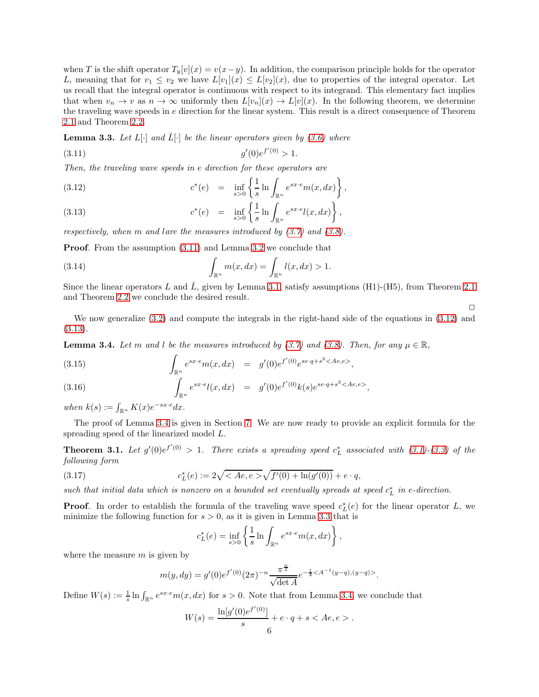when T is the shift operator  $T_y[v](x) = v(x-y)$ . In addition, the comparison principle holds for the operator L, meaning that for  $v_1 \le v_2$  we have  $L[v_1](x) \le L[v_2](x)$ , due to properties of the integral operator. Let us recall that the integral operator is continuous with respect to its integrand. This elementary fact implies that when  $v_n \to v$  as  $n \to \infty$  uniformly then  $L[v_n](x) \to L[v](x)$ . In the following theorem, we determine the traveling wave speeds in e direction for the linear system. This result is a direct consequence of Theorem [2.1](#page-3-0) and Theorem [2.2.](#page-3-1)

<span id="page-5-3"></span>**Lemma 3.3.** Let  $L[\cdot]$  and  $\overline{L}[\cdot]$  be the linear operators given by [\(3.6\)](#page-4-4) where

<span id="page-5-1"></span>
$$
(3.11) \t\t g'(0)e^{f'(0)} > 1.
$$

Then, the traveling wave speeds in e direction for these operators are

<span id="page-5-2"></span>(3.12) 
$$
c^*(e) = \inf_{s>0} \left\{ \frac{1}{s} \ln \int_{\mathbb{R}^n} e^{sx \cdot e} m(x, dx) \right\},
$$

(3.13) 
$$
c^*(e) = \inf_{s>0} \left\{ \frac{1}{s} \ln \int_{\mathbb{R}^n} e^{sx \cdot e} l(x, dx) \right\},
$$

respectively, when m and lare the measures introduced by  $(3.7)$  and  $(3.8)$ .

Proof. From the assumption [\(3.11\)](#page-5-1) and Lemma [3.2](#page-4-5) we conclude that

(3.14) 
$$
\int_{\mathbb{R}^n} m(x, dx) = \int_{\mathbb{R}^n} l(x, dx) > 1.
$$

Since the linear operators L and L, given by Lemma [3.1,](#page-4-2) satisfy assumptions (H1)-(H5), from Theorem [2.1](#page-3-0) and Theorem [2.2](#page-3-1) we conclude the desired result.

 $\Box$ 

We now generalize [\(3.2\)](#page-4-5) and compute the integrals in the right-hand side of the equations in [\(3.12\)](#page-5-2) and [\(3.13\)](#page-5-2).

<span id="page-5-0"></span>**Lemma 3.4.** Let m and l be the measures introduced by [\(3.7\)](#page-4-3) and [\(3.8\)](#page-4-3). Then, for any  $\mu \in \mathbb{R}$ ,

(3.15) 
$$
\int_{\mathbb{R}^n} e^{sx \cdot e} m(x, dx) = g'(0) e^{f'(0)} e^{se \cdot q + s^2 < Ae, e>}
$$

(3.16) 
$$
\int_{\mathbb{R}^n} e^{sx \cdot e} l(x, dx) = g'(0) e^{f'(0)} k(s) e^{se \cdot q + s^2 < Ae, e>},
$$

when  $k(s) := \int_{\mathbb{R}^n} K(x) e^{-sx \cdot e} dx$ .

The proof of Lemma [3.4](#page-5-0) is given in Section [7.](#page-12-0) We are now ready to provide an explicit formula for the spreading speed of the linearized model L.

<span id="page-5-5"></span>**Theorem 3.1.** Let  $g'(0)e^{f'(0)} > 1$ . There exists a spreading speed  $c_L^*$  associated with [\(3.1\)](#page-4-1)-[\(3.3\)](#page-4-6) of the following form

(3.17) 
$$
c_L^*(e) := 2\sqrt{} \sqrt{f'(0) + \ln(g'(0))} + e \cdot q,
$$

such that initial data which is nonzero on a bounded set eventually spreads at speed  $c_L^*$  in e-direction.

**Proof.** In order to establish the formula of the traveling wave speed  $c_L^*(e)$  for the linear operator L, we minimize the following function for  $s > 0$ , as it is given in Lemma [3.3](#page-5-3) that is

<span id="page-5-4"></span>
$$
c_L^*(e) = \inf_{s>0} \left\{ \frac{1}{s} \ln \int_{\mathbb{R}^n} e^{sx \cdot e} m(x, dx) \right\},\,
$$

where the measure  $m$  is given by

$$
m(y, dy) = g'(0)e^{f'(0)}(2\pi)^{-n} \frac{\pi^{\frac{n}{2}}}{\sqrt{\det A}} e^{-\frac{1}{4} < A^{-1}(y-q), (y-q)>}.
$$

Define  $W(s) := \frac{1}{s} \ln \int_{\mathbb{R}^n} e^{sx \cdot e} m(x, dx)$  for  $s > 0$ . Note that from Lemma [3.4,](#page-5-0) we conclude that

$$
W(s) = \frac{\ln[g'(0)e^{f'(0)}]}{s} + e \cdot q + s < Ae, e > .
$$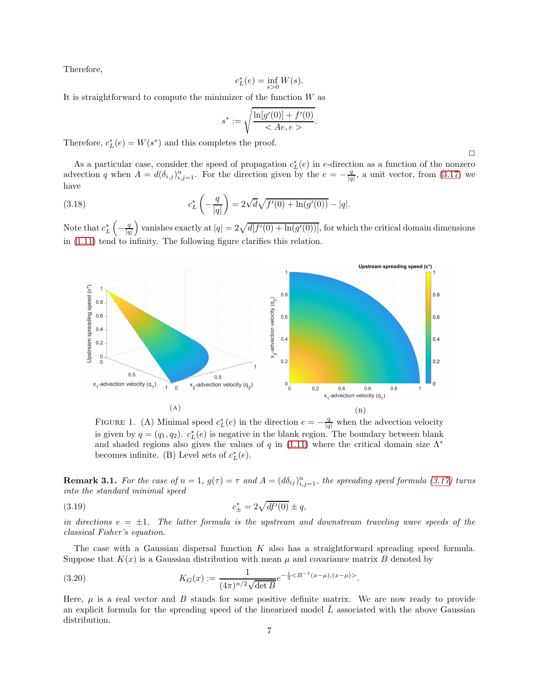Therefore,

$$
c_L^*(e) = \inf_{s>0} W(s).
$$

It is straightforward to compute the minimizer of the function  $W$  as

$$
s^* := \sqrt{\frac{\ln[g'(0)] + f'(0)}{h_0^2 + h_1^2 + h_2^2}}.
$$

Therefore,  $c_L^*(e) = W(s^*)$  and this completes the proof.

As a particular case, consider the speed of propagation  $c_L^*(e)$  in e-direction as a function of the nonzero advection q when  $A = d(\delta_{i,j})_{i,j=1}^n$ . For the direction given by the  $e = -\frac{q}{|q|}$ , a unit vector, from [\(3.17\)](#page-5-4) we have

(3.18) 
$$
c_L^* \left(-\frac{q}{|q|}\right) = 2\sqrt{d}\sqrt{f'(0) + \ln(g'(0))} - |q|.
$$

Note that  $c_L^* \left(-\frac{q}{|q|}\right)$ ) vanishes exactly at  $|q| = 2\sqrt{d[f'(0) + \ln(g'(0))]}$ , for which the critical domain dimensions in [\(1.11\)](#page-1-3) tend to infinity. The following figure clarifies this relation.



FIGURE 1. (A) Minimal speed  $c_L^*(e)$  in the direction  $e = -\frac{q}{|q|}$  when the advection velocity is given by  $q = (q_1, q_2)$ .  $c_L^*(e)$  is negative in the blank region. The boundary between blank and shaded regions also gives the values of q in [\(1.11\)](#page-1-3) where the critical domain size  $\Lambda^*$ becomes infinite. (B) Level sets of  $c_L^*(e)$ .

**Remark 3.1.** For the case of  $n = 1$ ,  $g(\tau) = \tau$  and  $A = (d\delta_{ij})_{i,j=1}^n$ , the spreading speed formula [\(3.17\)](#page-5-4) turns into the standard minimal speed

(3.19) 
$$
c_{\pm}^* = 2\sqrt{df'(0)} \pm q,
$$

in directions  $e = \pm 1$ . The latter formula is the upstream and downstream traveling wave speeds of the classical Fisher's equation.

The case with a Gaussian dispersal function  $K$  also has a straightforward spreading speed formula. Suppose that  $K(x)$  is a Gaussian distribution with mean  $\mu$  and covariance matrix B denoted by

<span id="page-6-0"></span>(3.20) 
$$
K_G(x) := \frac{1}{(4\pi)^{n/2}\sqrt{\det B}}e^{-\frac{1}{4} < B^{-1}(x-\mu),(x-\mu) > }.
$$

Here,  $\mu$  is a real vector and B stands for some positive definite matrix. We are now ready to provide an explicit formula for the spreading speed of the linearized model  $\overline{L}$  associated with the above Gaussian distribution.

 $\Box$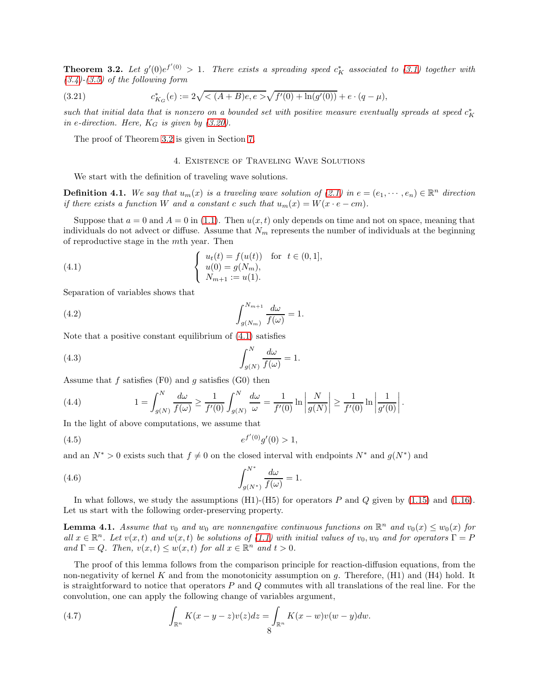<span id="page-7-1"></span>**Theorem 3.2.** Let  $g'(0)e^{f'(0)} > 1$ . There exists a spreading speed  $c_K^*$  associated to [\(3.1\)](#page-4-1) together with  $(3.4)-(3.5)$  $(3.4)-(3.5)$  $(3.4)-(3.5)$  of the following form

(3.21) 
$$
c_{K_G}^*(e) := 2\sqrt{<(A+B)e, e>} \sqrt{f'(0) + \ln(g'(0))} + e \cdot (q - \mu),
$$

such that initial data that is nonzero on a bounded set with positive measure eventually spreads at speed  $c_K^*$ in e-direction. Here,  $K_G$  is given by [\(3.20\)](#page-6-0).

<span id="page-7-0"></span>The proof of Theorem [3.2](#page-7-1) is given in Section [7.](#page-12-0)

### <span id="page-7-3"></span><span id="page-7-2"></span>4. Existence of Traveling Wave Solutions

We start with the definition of traveling wave solutions.

**Definition 4.1.** We say that  $u_m(x)$  is a traveling wave solution of  $(2.1)$  in  $e = (e_1, \dots, e_n) \in \mathbb{R}^n$  direction if there exists a function W and a constant c such that  $u_m(x) = W(x \cdot e - cm)$ .

Suppose that  $a = 0$  and  $A = 0$  in [\(1.1\)](#page-0-0). Then  $u(x, t)$  only depends on time and not on space, meaning that individuals do not advect or diffuse. Assume that  $N_m$  represents the number of individuals at the beginning of reproductive stage in the mth year. Then

(4.1) 
$$
\begin{cases} u_t(t) = f(u(t)) & \text{for } t \in (0,1], \\ u(0) = g(N_m), \\ N_{m+1} := u(1). \end{cases}
$$

Separation of variables shows that

(4.2) 
$$
\int_{g(N_m)}^{N_{m+1}} \frac{d\omega}{f(\omega)} = 1.
$$

Note that a positive constant equilibrium of [\(4.1\)](#page-7-2) satisfies

(4.3) 
$$
\int_{g(N)}^{N} \frac{d\omega}{f(\omega)} = 1.
$$

Assume that f satisfies  $(F0)$  and g satisfies  $(G0)$  then

(4.4) 
$$
1 = \int_{g(N)}^{N} \frac{d\omega}{f(\omega)} \ge \frac{1}{f'(0)} \int_{g(N)}^{N} \frac{d\omega}{\omega} = \frac{1}{f'(0)} \ln \left| \frac{N}{g(N)} \right| \ge \frac{1}{f'(0)} \ln \left| \frac{1}{g'(0)} \right|.
$$

In the light of above computations, we assume that

<span id="page-7-4"></span>
$$
(4.5) \t\t e^{f'(0)}g'(0) > 1,
$$

and an  $N^* > 0$  exists such that  $f \neq 0$  on the closed interval with endpoints  $N^*$  and  $g(N^*)$  and

<span id="page-7-5"></span>(4.6) 
$$
\int_{g(N^*)}^{N^*} \frac{d\omega}{f(\omega)} = 1.
$$

In what follows, we study the assumptions  $(H1)-(H5)$  for operators P and Q given by  $(1.15)$  and  $(1.16)$ . Let us start with the following order-preserving property.

**Lemma 4.1.** Assume that  $v_0$  and  $w_0$  are nonnengative continuous functions on  $\mathbb{R}^n$  and  $v_0(x) \leq w_0(x)$  for all  $x \in \mathbb{R}^n$ . Let  $v(x, t)$  and  $w(x, t)$  be solutions of [\(1.1\)](#page-0-0) with initial values of  $v_0, w_0$  and for operators  $\Gamma = P$ and  $\Gamma = Q$ . Then,  $v(x,t) \leq w(x,t)$  for all  $x \in \mathbb{R}^n$  and  $t > 0$ .

The proof of this lemma follows from the comparison principle for reaction-diffusion equations, from the non-negativity of kernel K and from the monotonicity assumption on g. Therefore,  $(H1)$  and  $(H4)$  hold. It is straightforward to notice that operators  $P$  and  $Q$  commutes with all translations of the real line. For the convolution, one can apply the following change of variables argument,

(4.7) 
$$
\int_{\mathbb{R}^n} K(x-y-z)v(z)dz = \int_{\mathbb{R}^n} K(x-w)v(w-y)dw.
$$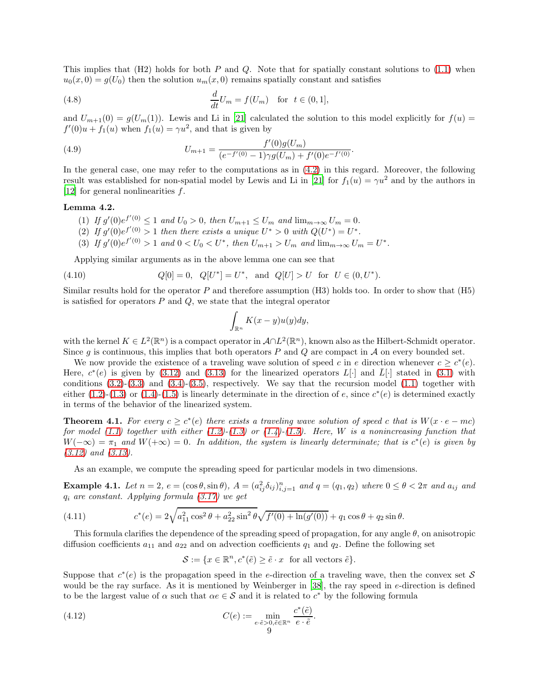This implies that  $(H2)$  holds for both P and Q. Note that for spatially constant solutions to  $(1.1)$  when  $u_0(x, 0) = g(U_0)$  then the solution  $u_m(x, 0)$  remains spatially constant and satisfies

(4.8) 
$$
\frac{d}{dt}U_m = f(U_m) \text{ for } t \in (0,1],
$$

and  $U_{m+1}(0) = g(U_m(1))$ . Lewis and Li in [\[21\]](#page-17-0) calculated the solution to this model explicitly for  $f(u)$  $f'(0)u + f_1(u)$  when  $f_1(u) = \gamma u^2$ , and that is given by

(4.9) 
$$
U_{m+1} = \frac{f'(0)g(U_m)}{(e^{-f'(0)} - 1)\gamma g(U_m) + f'(0)e^{-f'(0)}}.
$$

In the general case, one may refer to the computations as in [\(4.2\)](#page-7-3) in this regard. Moreover, the following result was established for non-spatial model by Lewis and Li in [\[21\]](#page-17-0) for  $f_1(u) = \gamma u^2$  and by the authors in [\[12\]](#page-16-0) for general nonlinearities  $f$ .

### Lemma 4.2.

- (1) If  $g'(0)e^{f'(0)} \leq 1$  and  $U_0 > 0$ , then  $U_{m+1} \leq U_m$  and  $\lim_{m \to \infty} U_m = 0$ .
- (2) If  $g'(0)e^{f'(0)} > 1$  then there exists a unique  $U^* > 0$  with  $Q(U^*) = U^*$ .
- (3) If  $g'(0)e^{f'(0)} > 1$  and  $0 < U_0 < U^*$ , then  $U_{m+1} > U_m$  and  $\lim_{m \to \infty} U_m = U^*$ .

Applying similar arguments as in the above lemma one can see that

(4.10) 
$$
Q[0] = 0
$$
,  $Q[U^*] = U^*$ , and  $Q[U] > U$  for  $U \in (0, U^*)$ .

Similar results hold for the operator  $P$  and therefore assumption (H3) holds too. In order to show that (H5) is satisfied for operators  $P$  and  $Q$ , we state that the integral operator

$$
\int_{\mathbb{R}^n} K(x-y)u(y)dy,
$$

with the kernel  $K \in L^2(\mathbb{R}^n)$  is a compact operator in  $\mathcal{A} \cap L^2(\mathbb{R}^n)$ , known also as the Hilbert-Schmidt operator. Since g is continuous, this implies that both operators  $P$  and  $Q$  are compact in  $\mathcal A$  on every bounded set.

We now provide the existence of a traveling wave solution of speed c in e direction whenever  $c \geq c^*(e)$ . Here,  $c^*(e)$  is given by [\(3.12\)](#page-5-2) and [\(3.13\)](#page-5-2) for the linearized operators  $L[\cdot]$  and  $\overline{L}[\cdot]$  stated in [\(3.1\)](#page-4-1) with conditions  $(3.2)-(3.3)$  $(3.2)-(3.3)$  and  $(3.4)-(3.5)$  $(3.4)-(3.5)$ , respectively. We say that the recursion model  $(1.1)$  together with either  $(1.2)-(1.3)$  $(1.2)-(1.3)$  or  $(1.4)-(1.5)$  $(1.4)-(1.5)$  is linearly determinate in the direction of e, since  $c^*(e)$  is determined exactly in terms of the behavior of the linearized system.

<span id="page-8-2"></span>**Theorem 4.1.** For every  $c \geq c^*(e)$  there exists a traveling wave solution of speed c that is  $W(x \cdot e - mc)$ for model [\(1.1\)](#page-0-0) together with either [\(1.2\)](#page-0-1)-[\(1.3\)](#page-0-1) or [\(1.4\)](#page-1-0)-[\(1.5\)](#page-1-0). Here, W is a nonincreasing function that  $W(-\infty) = \pi_1$  and  $W(+\infty) = 0$ . In addition, the system is linearly determinate; that is  $c^*(e)$  is given by [\(3.12\)](#page-5-2) and [\(3.13\)](#page-5-2).

As an example, we compute the spreading speed for particular models in two dimensions.

<span id="page-8-0"></span>**Example 4.1.** Let  $n = 2$ ,  $e = (\cos \theta, \sin \theta)$ ,  $A = (a_{ij}^2 \delta_{ij})_{i,j=1}^n$  and  $q = (q_1, q_2)$  where  $0 \le \theta < 2\pi$  and  $a_{ij}$  and  $q_i$  are constant. Applying formula  $(3.17)$  we get

(4.11) 
$$
c^*(e) = 2\sqrt{a_{11}^2 \cos^2 \theta + a_{22}^2 \sin^2 \theta} \sqrt{f'(0) + \ln(g'(0))} + q_1 \cos \theta + q_2 \sin \theta.
$$

This formula clarifies the dependence of the spreading speed of propagation, for any angle  $\theta$ , on anisotropic diffusion coefficients  $a_{11}$  and  $a_{22}$  and on advection coefficients  $q_1$  and  $q_2$ . Define the following set

<span id="page-8-1"></span>
$$
\mathcal{S} := \{ x \in \mathbb{R}^n, c^*(\tilde{e}) \ge \tilde{e} \cdot x \text{ for all vectors } \tilde{e} \}.
$$

Suppose that  $c^*(e)$  is the propagation speed in the *e*-direction of a traveling wave, then the convex set S would be the ray surface. As it is mentioned by Weinberger in [\[38\]](#page-17-15), the ray speed in e-direction is defined to be the largest value of  $\alpha$  such that  $\alpha e \in \mathcal{S}$  and it is related to  $c^*$  by the following formula

(4.12) 
$$
C(e) := \min_{\substack{e \cdot \tilde{e} > 0, \tilde{e} \in \mathbb{R}^n \\ 9}} \frac{c^*(\tilde{e})}{e \cdot \tilde{e}}.
$$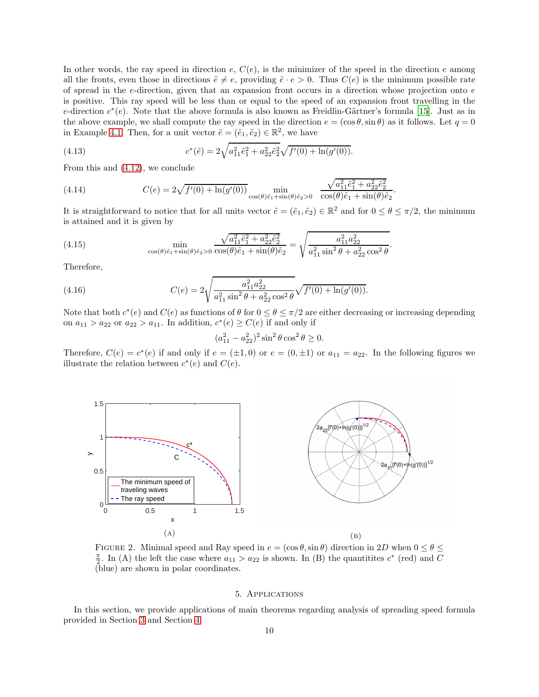In other words, the ray speed in direction  $e, C(e)$ , is the minimizer of the speed in the direction e among all the fronts, even those in directions  $\tilde{e} \neq e$ , providing  $\tilde{e} \cdot e > 0$ . Thus  $C(e)$  is the minimum possible rate of spread in the e-direction, given that an expansion front occurs in a direction whose projection onto e is positive. This ray speed will be less than or equal to the speed of an expansion front travelling in the e-direction  $c^*(e)$ . Note that the above formula is also known as Freidlin-Gärtner's formula [\[15](#page-16-12)]. Just as in the above example, we shall compute the ray speed in the direction  $e = (\cos \theta, \sin \theta)$  as it follows. Let  $q = 0$ in Example [4.1.](#page-8-0) Then, for a unit vector  $\tilde{e} = (\tilde{e}_1, \tilde{e}_2) \in \mathbb{R}^2$ , we have

(4.13) 
$$
c^*(\tilde{e}) = 2\sqrt{a_{11}^2 \tilde{e}_1^2 + a_{22}^2 \tilde{e}_2^2} \sqrt{f'(0) + \ln(g'(0))}.
$$

From this and [\(4.12\)](#page-8-1), we conclude

(4.14) 
$$
C(e) = 2\sqrt{f'(0) + \ln(g'(0))} \min_{\cos(\theta)\tilde{e}_1 + \sin(\theta)\tilde{e}_2 > 0} \frac{\sqrt{a_{11}^2 \tilde{e}_1^2 + a_{22}^2 \tilde{e}_2^2}}{\cos(\theta)\tilde{e}_1 + \sin(\theta)\tilde{e}_2}
$$

It is straightforward to notice that for all units vector  $\tilde{e} = (\tilde{e}_1, \tilde{e}_2) \in \mathbb{R}^2$  and for  $0 \le \theta \le \pi/2$ , the minimum is attained and it is given by

.

(4.15) 
$$
\min_{\cos(\theta)\tilde{e}_1+\sin(\theta)\tilde{e}_2>0} \frac{\sqrt{a_{11}^2\tilde{e}_1^2+a_{22}^2\tilde{e}_2^2}}{\cos(\theta)\tilde{e}_1+\sin(\theta)\tilde{e}_2} = \sqrt{\frac{a_{11}^2a_{22}^2}{a_{11}^2\sin^2\theta+a_{22}^2\cos^2\theta}}.
$$

Therefore,

(4.16) 
$$
C(e) = 2\sqrt{\frac{a_{11}^2 a_{22}^2}{a_{11}^2 \sin^2 \theta + a_{22}^2 \cos^2 \theta}} \sqrt{f'(0) + \ln(g'(0))}.
$$

Note that both  $c^*(e)$  and  $C(e)$  as functions of  $\theta$  for  $0 \le \theta \le \pi/2$  are either decreasing or increasing depending on  $a_{11} > a_{22}$  or  $a_{22} > a_{11}$ . In addition,  $c^*(e) \ge C(e)$  if and only if

$$
(a_{11}^2 - a_{22}^2)^2 \sin^2 \theta \cos^2 \theta \ge 0.
$$

Therefore,  $C(e) = c^*(e)$  if and only if  $e = (\pm 1, 0)$  or  $e = (0, \pm 1)$  or  $a_{11} = a_{22}$ . In the following figures we illustrate the relation between  $c^*(e)$  and  $C(e)$ .



FIGURE 2. Minimal speed and Ray speed in  $e = (\cos \theta, \sin \theta)$  direction in 2D when  $0 \le \theta \le$  $\frac{\pi}{2}$ . In (A) the left the case where  $a_{11} > a_{22}$  is shown. In (B) the quantitites  $c^*$  (red) and C (blue) are shown in polar coordinates.

## 5. Applications

<span id="page-9-0"></span>In this section, we provide applications of main theorems regarding analysis of spreading speed formula provided in Section [3](#page-4-0) and Section [4.](#page-7-0)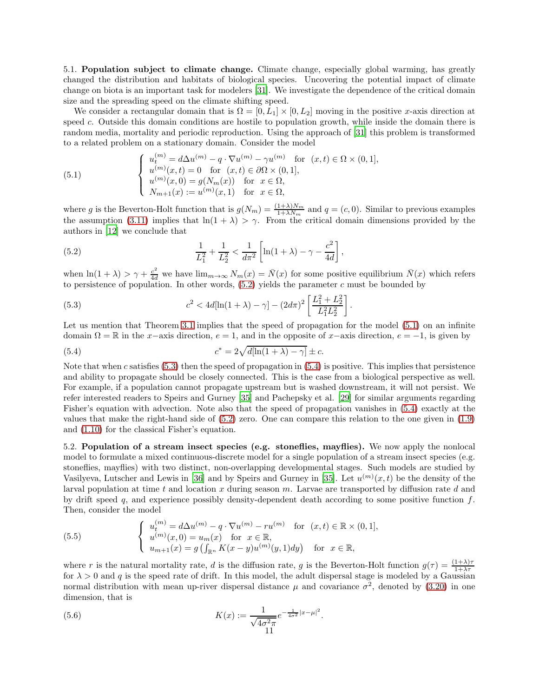5.1. Population subject to climate change. Climate change, especially global warming, has greatly changed the distribution and habitats of biological species. Uncovering the potential impact of climate change on biota is an important task for modelers [\[31](#page-17-17)]. We investigate the dependence of the critical domain size and the spreading speed on the climate shifting speed.

We consider a rectangular domain that is  $\Omega = [0, L_1] \times [0, L_2]$  moving in the positive x-axis direction at speed c. Outside this domain conditions are hostile to population growth, while inside the domain there is random media, mortality and periodic reproduction. Using the approach of [\[31](#page-17-17)] this problem is transformed to a related problem on a stationary domain. Consider the model

<span id="page-10-1"></span>(5.1) 
$$
\begin{cases} u_t^{(m)} = d\Delta u^{(m)} - q \cdot \nabla u^{(m)} - \gamma u^{(m)} & \text{for } (x, t) \in \Omega \times (0, 1], \\ u^{(m)}(x, t) = 0 & \text{for } (x, t) \in \partial\Omega \times (0, 1], \\ u^{(m)}(x, 0) = g(N_m(x)) & \text{for } x \in \Omega, \\ N_{m+1}(x) := u^{(m)}(x, 1) & \text{for } x \in \Omega, \end{cases}
$$

where g is the Beverton-Holt function that is  $g(N_m) = \frac{(1+\lambda)N_m}{1+\lambda N_m}$  and  $q = (c, 0)$ . Similar to previous examples the assumption [\(3.11\)](#page-5-1) implies that  $\ln(1 + \lambda) > \gamma$ . From the critical domain dimensions provided by the authors in [\[12](#page-16-0)] we conclude that

<span id="page-10-0"></span>(5.2) 
$$
\frac{1}{L_1^2} + \frac{1}{L_2^2} < \frac{1}{d\pi^2} \left[ \ln(1+\lambda) - \gamma - \frac{c^2}{4d} \right],
$$

when  $\ln(1+\lambda) > \gamma + \frac{c^2}{4d}$  we have  $\lim_{m\to\infty} N_m(x) = \bar{N}(x)$  for some positive equilibrium  $\bar{N}(x)$  which refers to persistence of population. In other words,  $(5.2)$  yields the parameter c must be bounded by

<span id="page-10-2"></span>(5.3) 
$$
c^2 < 4d[\ln(1+\lambda) - \gamma] - (2d\pi)^2 \left[ \frac{L_1^2 + L_2^2}{L_1^2 L_2^2} \right].
$$

Let us mention that Theorem [3.1](#page-5-5) implies that the speed of propagation for the model [\(5.1\)](#page-10-1) on an infinite domain  $\Omega = \mathbb{R}$  in the x−axis direction,  $e = 1$ , and in the opposite of x−axis direction,  $e = -1$ , is given by

<span id="page-10-3"></span>(5.4) 
$$
c^* = 2\sqrt{d[\ln(1+\lambda)-\gamma]} \pm c.
$$

Note that when c satisfies  $(5.3)$  then the speed of propagation in  $(5.4)$  is positive. This implies that persistence and ability to propagate should be closely connected. This is the case from a biological perspective as well. For example, if a population cannot propagate upstream but is washed downstream, it will not persist. We refer interested readers to Speirs and Gurney [\[35\]](#page-17-2) and Pachepsky et al. [\[29\]](#page-17-3) for similar arguments regarding Fisher's equation with advection. Note also that the speed of propagation vanishes in [\(5.4\)](#page-10-3) exactly at the values that make the right-hand side of [\(5.2\)](#page-10-0) zero. One can compare this relation to the one given in [\(1.9\)](#page-1-1) and [\(1.10\)](#page-1-2) for the classical Fisher's equation.

5.2. Population of a stream insect species (e.g. stoneflies, mayflies). We now apply the nonlocal model to formulate a mixed continuous-discrete model for a single population of a stream insect species (e.g. stoneflies, mayflies) with two distinct, non-overlapping developmental stages. Such models are studied by Vasilyeva, Lutscher and Lewis in [\[36](#page-17-4)] and by Speirs and Gurney in [\[35](#page-17-2)]. Let  $u^{(m)}(x,t)$  be the density of the larval population at time t and location x during season  $m$ . Larvae are transported by diffusion rate d and by drift speed q, and experience possibly density-dependent death according to some positive function  $f$ . Then, consider the model

(5.5) 
$$
\begin{cases} u_t^{(m)} = d\Delta u^{(m)} - q \cdot \nabla u^{(m)} - ru^{(m)} & \text{for } (x, t) \in \mathbb{R} \times (0, 1], \\ u^{(m)}(x, 0) = u_m(x) & \text{for } x \in \mathbb{R}, \\ u_{m+1}(x) = g \left( \int_{\mathbb{R}^n} K(x - y) u^{(m)}(y, 1) dy \right) & \text{for } x \in \mathbb{R}, \end{cases}
$$

where r is the natural mortality rate, d is the diffusion rate, g is the Beverton-Holt function  $g(\tau) = \frac{(1+\lambda)\tau}{1+\lambda\tau}$ for  $\lambda > 0$  and q is the speed rate of drift. In this model, the adult dispersal stage is modeled by a Gaussian normal distribution with mean up-river dispersal distance  $\mu$  and covariance  $\sigma^2$ , denoted by [\(3.20\)](#page-6-0) in one dimension, that is

(5.6) 
$$
K(x) := \frac{1}{\sqrt{4\sigma^2 \pi}} e^{-\frac{1}{4\sigma^2}|x-\mu|^2}.
$$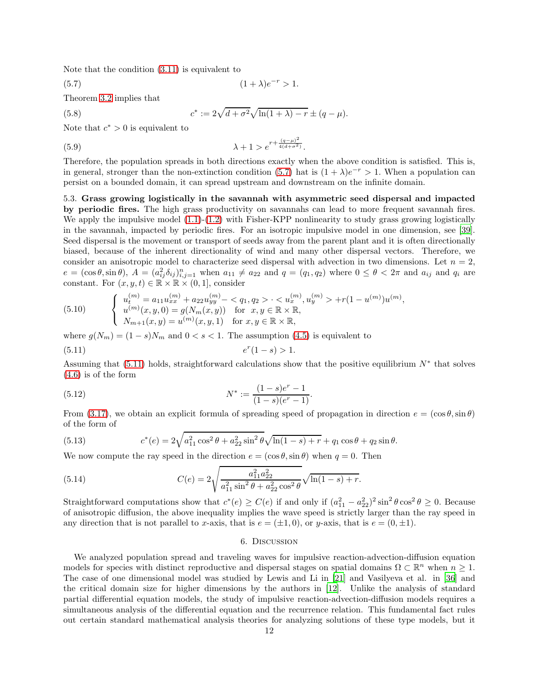Note that the condition [\(3.11\)](#page-5-1) is equivalent to

 $(5.8)$ 

(5.7) 
$$
(1 + \lambda)e^{-r} > 1.
$$

Theorem [3.2](#page-7-1) implies that

<span id="page-11-0"></span>
$$
c^* := 2\sqrt{d + \sigma^2} \sqrt{\ln(1 + \lambda) - r} \pm (q - \mu).
$$

Note that  $c^* > 0$  is equivalent to

(5.9) 
$$
\lambda + 1 > e^{r + \frac{(q - \mu)^2}{4(d + \sigma^2)}}.
$$

Therefore, the population spreads in both directions exactly when the above condition is satisfied. This is, in general, stronger than the non-extinction condition [\(5.7\)](#page-11-0) hat is  $(1 + \lambda)e^{-r} > 1$ . When a population can persist on a bounded domain, it can spread upstream and downstream on the infinite domain.

5.3. Grass growing logistically in the savannah with asymmetric seed dispersal and impacted by periodic fires. The high grass productivity on savannahs can lead to more frequent savannah fires. We apply the impulsive model  $(1.1)-(1.2)$  $(1.1)-(1.2)$  with Fisher-KPP nonlinearity to study grass growing logistically in the savannah, impacted by periodic fires. For an isotropic impulsive model in one dimension, see [\[39\]](#page-17-18). Seed dispersal is the movement or transport of seeds away from the parent plant and it is often directionally biased, because of the inherent directionality of wind and many other dispersal vectors. Therefore, we consider an anisotropic model to characterize seed dispersal with advection in two dimensions. Let  $n = 2$ ,  $e = (\cos \theta, \sin \theta), A = (a_{ij}^2 \delta_{ij})_{i,j=1}^n$  when  $a_{11} \neq a_{22}$  and  $q = (q_1, q_2)$  where  $0 \leq \theta < 2\pi$  and  $a_{ij}$  and  $q_i$  are constant. For  $(x, y, t) \in \mathbb{R} \times \mathbb{R} \times (0, 1]$ , consider

(5.10) 
$$
\begin{cases} u_t^{(m)} = a_{11}u_{xx}^{(m)} + a_{22}u_{yy}^{(m)} - \langle q_1, q_2 \rangle \cdot \langle u_x^{(m)}, u_y^{(m)} \rangle + r(1 - u^{(m)})u^{(m)}, \\ u^{(m)}(x, y, 0) = g(N_m(x, y)) \text{ for } x, y \in \mathbb{R} \times \mathbb{R}, \\ N_{m+1}(x, y) = u^{(m)}(x, y, 1) \text{ for } x, y \in \mathbb{R} \times \mathbb{R}, \end{cases}
$$

<span id="page-11-1"></span>where  $g(N_m) = (1-s)N_m$  and  $0 < s < 1$ . The assumption [\(4.5\)](#page-7-4) is equivalent to  $(5.11)$  e  $r(1-s) > 1.$ 

Assuming that  $(5.11)$  holds, straightforward calculations show that the positive equilibrium  $N^*$  that solves [\(4.6\)](#page-7-5) is of the form

(5.12) 
$$
N^* := \frac{(1-s)e^r - 1}{(1-s)(e^r - 1)}.
$$

From [\(3.17\)](#page-5-4), we obtain an explicit formula of spreading speed of propagation in direction  $e = (\cos \theta, \sin \theta)$ of the form of

(5.13) 
$$
c^*(e) = 2\sqrt{a_{11}^2 \cos^2 \theta + a_{22}^2 \sin^2 \theta} \sqrt{\ln(1-s) + r} + q_1 \cos \theta + q_2 \sin \theta.
$$

We now compute the ray speed in the direction  $e = (\cos \theta, \sin \theta)$  when  $q = 0$ . Then

(5.14) 
$$
C(e) = 2\sqrt{\frac{a_{11}^2 a_{22}^2}{a_{11}^2 \sin^2 \theta + a_{22}^2 \cos^2 \theta}} \sqrt{\ln(1-s) + r}.
$$

Straightforward computations show that  $c^*(e) \geq C(e)$  if and only if  $(a_{11}^2 - a_{22}^2)^2 \sin^2 \theta \cos^2 \theta \geq 0$ . Because of anisotropic diffusion, the above inequality implies the wave speed is strictly larger than the ray speed in any direction that is not parallel to x-axis, that is  $e = (\pm 1, 0)$ , or y-axis, that is  $e = (0, \pm 1)$ .

## 6. Discussion

We analyzed population spread and traveling waves for impulsive reaction-advection-diffusion equation models for species with distinct reproductive and dispersal stages on spatial domains  $\Omega \subset \mathbb{R}^n$  when  $n \geq 1$ . The case of one dimensional model was studied by Lewis and Li in [\[21](#page-17-0)] and Vasilyeva et al. in [\[36\]](#page-17-4) and the critical domain size for higher dimensions by the authors in [\[12\]](#page-16-0). Unlike the analysis of standard partial differential equation models, the study of impulsive reaction-advection-diffusion models requires a simultaneous analysis of the differential equation and the recurrence relation. This fundamental fact rules out certain standard mathematical analysis theories for analyzing solutions of these type models, but it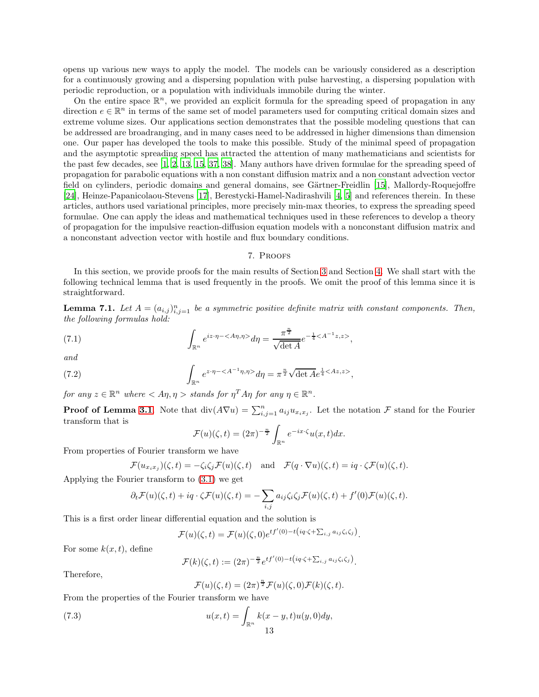opens up various new ways to apply the model. The models can be variously considered as a description for a continuously growing and a dispersing population with pulse harvesting, a dispersing population with periodic reproduction, or a population with individuals immobile during the winter.

On the entire space  $\mathbb{R}^n$ , we provided an explicit formula for the spreading speed of propagation in any direction  $e \in \mathbb{R}^n$  in terms of the same set of model parameters used for computing critical domain sizes and extreme volume sizes. Our applications section demonstrates that the possible modeling questions that can be addressed are broadranging, and in many cases need to be addressed in higher dimensions than dimension one. Our paper has developed the tools to make this possible. Study of the minimal speed of propagation and the asymptotic spreading speed has attracted the attention of many mathematicians and scientists for the past few decades, see [\[1,](#page-16-2) [2,](#page-16-3) [13](#page-16-6), [15,](#page-16-12) [37](#page-17-14), [38\]](#page-17-15). Many authors have driven formulae for the spreading speed of propagation for parabolic equations with a non constant diffusion matrix and a non constant advection vector field on cylinders, periodic domains and general domains, see Gärtner-Freidlin [\[15\]](#page-16-12), Mallordy-Roquejoffre [\[24\]](#page-17-19), Heinze-Papanicolaou-Stevens [\[17\]](#page-16-11), Berestycki-Hamel-Nadirashvili [\[4,](#page-16-8) [5\]](#page-16-9) and references therein. In these articles, authors used variational principles, more precisely min-max theories, to express the spreading speed formulae. One can apply the ideas and mathematical techniques used in these references to develop a theory of propagation for the impulsive reaction-diffusion equation models with a nonconstant diffusion matrix and a nonconstant advection vector with hostile and flux boundary conditions.

#### 7. Proofs

<span id="page-12-0"></span>In this section, we provide proofs for the main results of Section [3](#page-4-0) and Section [4.](#page-7-0) We shall start with the following technical lemma that is used frequently in the proofs. We omit the proof of this lemma since it is straightforward.

<span id="page-12-4"></span>**Lemma 7.1.** Let  $A = (a_{i,j})_{i,j=1}^n$  be a symmetric positive definite matrix with constant components. Then, the following formulas hold:

(7.1) 
$$
\int_{\mathbb{R}^n} e^{iz \cdot \eta - \langle A\eta, \eta \rangle} d\eta = \frac{\pi^{\frac{n}{2}}}{\sqrt{\det A}} e^{-\frac{1}{4} \langle A^{-1}z, z \rangle},
$$

and

(7.2) 
$$
\int_{\mathbb{R}^n} e^{z \cdot \eta - \langle A^{-1} \eta, \eta \rangle} d\eta = \pi^{\frac{n}{2}} \sqrt{\det A} e^{\frac{1}{4} \langle Az, z \rangle},
$$

for any  $z \in \mathbb{R}^n$  where  $\langle A\eta, \eta \rangle$  stands for  $\eta^T A \eta$  for any  $\eta \in \mathbb{R}^n$ .

**Proof of Lemma [3.1](#page-4-2).** Note that  $\text{div}(A\nabla u) = \sum_{i,j=1}^n a_{ij}u_{x_ix_j}$ . Let the notation F stand for the Fourier transform that is

<span id="page-12-3"></span><span id="page-12-1"></span>
$$
\mathcal{F}(u)(\zeta,t) = (2\pi)^{-\frac{n}{2}} \int_{\mathbb{R}^n} e^{-ix\cdot\zeta} u(x,t) dx.
$$

From properties of Fourier transform we have

$$
\mathcal{F}(u_{x_ix_j})(\zeta,t) = -\zeta_i\zeta_j\mathcal{F}(u)(\zeta,t) \quad \text{and} \quad \mathcal{F}(q \cdot \nabla u)(\zeta,t) = iq \cdot \zeta\mathcal{F}(u)(\zeta,t).
$$

Applying the Fourier transform to [\(3.1\)](#page-4-1) we get

$$
\partial_t \mathcal{F}(u)(\zeta, t) + iq \cdot \zeta \mathcal{F}(u)(\zeta, t) = -\sum_{i,j} a_{ij} \zeta_i \zeta_j \mathcal{F}(u)(\zeta, t) + f'(0) \mathcal{F}(u)(\zeta, t).
$$

This is a first order linear differential equation and the solution is

$$
\mathcal{F}(u)(\zeta,t)=\mathcal{F}(u)(\zeta,0)e^{tf'(0)-t\left(iq\cdot\zeta+\sum_{i,j}a_{ij}\zeta_i\zeta_j\right)}.
$$

For some  $k(x, t)$ , define

$$
\mathcal{F}(k)(\zeta,t) := (2\pi)^{-\frac{n}{2}} e^{tf'(0)-t\left(iq\cdot\zeta+\sum_{i,j} a_{ij}\zeta_i\zeta_j\right)}.
$$

Therefore,

<span id="page-12-2"></span>
$$
\mathcal{F}(u)(\zeta,t) = (2\pi)^{\frac{n}{2}} \mathcal{F}(u)(\zeta,0) \mathcal{F}(k)(\zeta,t).
$$

From the properties of the Fourier transform we have

(7.3) 
$$
u(x,t) = \int_{\mathbb{R}^n} k(x - y, t) u(y, 0) dy,
$$
13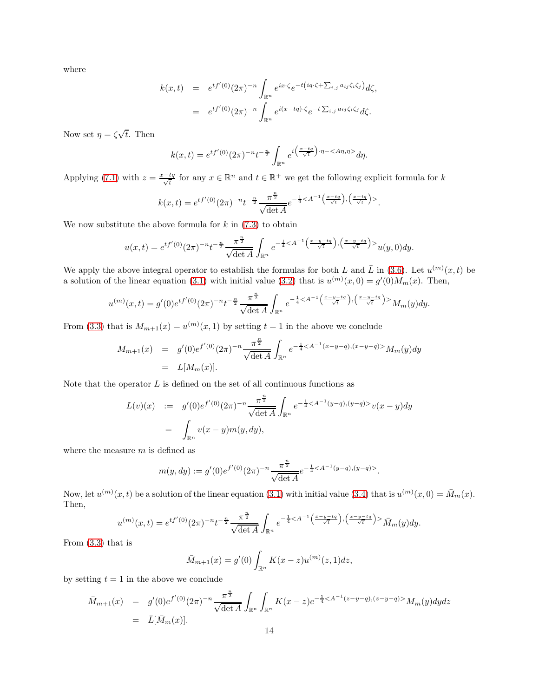where

$$
k(x,t) = e^{tf'(0)}(2\pi)^{-n} \int_{\mathbb{R}^n} e^{ix\cdot\zeta} e^{-t(iq\cdot\zeta + \sum_{i,j} a_{ij}\zeta_i\zeta_j)} d\zeta,
$$
  

$$
= e^{tf'(0)}(2\pi)^{-n} \int_{\mathbb{R}^n} e^{i(x-tq)\cdot\zeta} e^{-t\sum_{i,j} a_{ij}\zeta_i\zeta_j} d\zeta.
$$

Now set  $\eta = \zeta \sqrt{t}$ . Then

$$
k(x,t) = e^{tf'(0)} (2\pi)^{-n} t^{-\frac{n}{2}} \int_{\mathbb{R}^n} e^{i\left(\frac{x-tq}{\sqrt{t}}\right) \cdot \eta - \langle A\eta, \eta \rangle} d\eta.
$$

Applying [\(7.1\)](#page-12-1) with  $z = \frac{x-tq}{\sqrt{t}}$  for any  $x \in \mathbb{R}^n$  and  $t \in \mathbb{R}^+$  we get the following explicit formula for k

$$
k(x,t) = e^{tf'(0)} (2\pi)^{-n} t^{-\frac{n}{2}} \frac{\pi^{\frac{n}{2}}}{\sqrt{\det A}} e^{-\frac{1}{4} < A^{-1} \left( \frac{x - tq}{\sqrt{t}} \right), \left( \frac{x - tq}{\sqrt{t}} \right) >}.
$$

We now substitute the above formula for  $k$  in  $(7.3)$  to obtain

$$
u(x,t) = e^{tf'(0)}(2\pi)^{-n}t^{-\frac{n}{2}}\frac{\pi^{\frac{n}{2}}}{\sqrt{\det A}}\int_{\mathbb{R}^n}e^{-\frac{1}{4}u(y,0)dy}.
$$

We apply the above integral operator to establish the formulas for both L and  $\bar{L}$  in [\(3.6\)](#page-4-4). Let  $u^{(m)}(x,t)$  be a solution of the linear equation [\(3.1\)](#page-4-1) with initial value [\(3.2\)](#page-4-6) that is  $u^{(m)}(x,0) = g'(0)M_m(x)$ . Then,

$$
u^{(m)}(x,t) = g'(0)e^{tf'(0)}(2\pi)^{-n}t^{-\frac{n}{2}}\frac{\pi^{\frac{n}{2}}}{\sqrt{\det A}}\int_{\mathbb{R}^n}e^{-\frac{1}{4}M_m(y)dy}.
$$

From [\(3.3\)](#page-4-6) that is  $M_{m+1}(x) = u^{(m)}(x, 1)$  by setting  $t = 1$  in the above we conclude

$$
M_{m+1}(x) = g'(0)e^{f'(0)}(2\pi)^{-n} \frac{\pi^{\frac{n}{2}}}{\sqrt{\det A}} \int_{\mathbb{R}^n} e^{-\frac{1}{4} \langle A^{-1}(x-y-q), (x-y-q) \rangle} M_m(y) dy
$$
  
=  $L[M_m(x)].$ 

Note that the operator  $L$  is defined on the set of all continuous functions as

$$
L(v)(x) := g'(0)e^{f'(0)}(2\pi)^{-n} \frac{\pi^{\frac{n}{2}}}{\sqrt{\det A}} \int_{\mathbb{R}^n} e^{-\frac{1}{4} < A^{-1}(y-q),(y-q) >} v(x-y) dy
$$
  
= 
$$
\int_{\mathbb{R}^n} v(x-y)m(y,dy),
$$

where the measure  $m$  is defined as

$$
m(y, dy) := g'(0)e^{f'(0)}(2\pi)^{-n} \frac{\pi^{\frac{n}{2}}}{\sqrt{\det A}} e^{-\frac{1}{4} < A^{-1}(y-q), (y-q)>}.
$$

Now, let  $u^{(m)}(x,t)$  be a solution of the linear equation [\(3.1\)](#page-4-1) with initial value [\(3.4\)](#page-4-7) that is  $u^{(m)}(x,0) = \bar{M}_m(x)$ . Then,

$$
u^{(m)}(x,t) = e^{tf'(0)}(2\pi)^{-n}t^{-\frac{n}{2}}\frac{\pi^{\frac{n}{2}}}{\sqrt{\det A}}\int_{\mathbb{R}^n}e^{-\frac{1}{4}\bar{M}_m(y)dy}.
$$

From [\(3.3\)](#page-4-6) that is

$$
\bar{M}_{m+1}(x) = g'(0) \int_{\mathbb{R}^n} K(x - z) u^{(m)}(z, 1) dz,
$$

by setting  $t = 1$  in the above we conclude

$$
\bar{M}_{m+1}(x) = g'(0)e^{f'(0)}(2\pi)^{-n} \frac{\pi^{\frac{n}{2}}}{\sqrt{\det A}} \int_{\mathbb{R}^n} \int_{\mathbb{R}^n} K(x-z)e^{-\frac{1}{4} < A^{-1}(z-y-q), (z-y-q) >} M_m(y)dydz
$$
  
=  $\bar{L}[\bar{M}_m(x)].$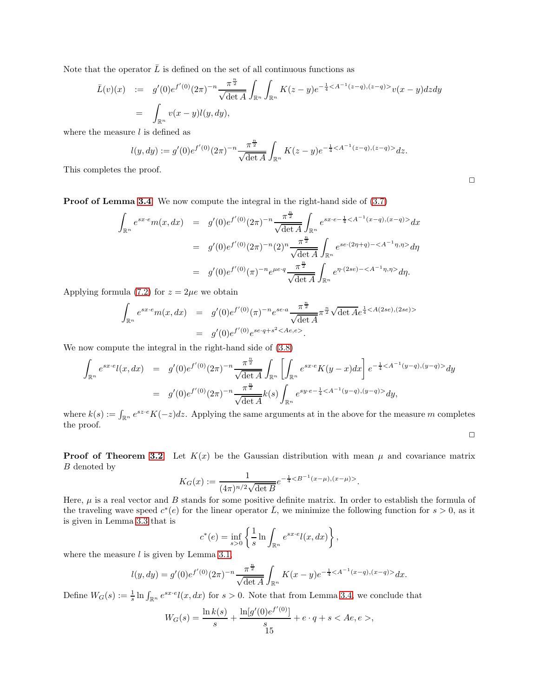Note that the operator  $\overline{L}$  is defined on the set of all continuous functions as

$$
\bar{L}(v)(x) := g'(0)e^{f'(0)}(2\pi)^{-n} \frac{\pi^{\frac{n}{2}}}{\sqrt{\det A}} \int_{\mathbb{R}^n} \int_{\mathbb{R}^n} K(z-y)e^{-\frac{1}{4} < A^{-1}(z-q),(z-q)>}v(x-y)dz dy
$$
\n
$$
= \int_{\mathbb{R}^n} v(x-y)l(y,dy),
$$

where the measure  $l$  is defined as

$$
l(y, dy) := g'(0)e^{f'(0)}(2\pi)^{-n} \frac{\pi^{\frac{n}{2}}}{\sqrt{\det A}} \int_{\mathbb{R}^n} K(z - y)e^{-\frac{1}{4} < A^{-1}(z - q),(z - q)>} dz.
$$

This completes the proof.

Proof of Lemma [3.4](#page-5-0). We now compute the integral in the right-hand side of [\(3.7\)](#page-4-3)

$$
\int_{\mathbb{R}^n} e^{sx \cdot e} m(x, dx) = g'(0) e^{f'(0)} (2\pi)^{-n} \frac{\pi^{\frac{n}{2}}}{\sqrt{\det A}} \int_{\mathbb{R}^n} e^{sx \cdot e - \frac{1}{4} < A^{-1}(x-q), (x-q) >} dx
$$
  
\n
$$
= g'(0) e^{f'(0)} (2\pi)^{-n} (2)^n \frac{\pi^{\frac{n}{2}}}{\sqrt{\det A}} \int_{\mathbb{R}^n} e^{se \cdot (2\eta + q) - \langle A^{-1} \eta, \eta \rangle} d\eta
$$
  
\n
$$
= g'(0) e^{f'(0)} (\pi)^{-n} e^{\mu e \cdot q} \frac{\pi^{\frac{n}{2}}}{\sqrt{\det A}} \int_{\mathbb{R}^n} e^{\eta \cdot (2se) - \langle A^{-1} \eta, \eta \rangle} d\eta.
$$

Applying formula [\(7.2\)](#page-12-3) for  $z = 2\mu e$  we obtain

$$
\int_{\mathbb{R}^n} e^{sx \cdot e} m(x, dx) = g'(0) e^{f'(0)}(\pi)^{-n} e^{se \cdot a} \frac{\pi^{\frac{n}{2}}}{\sqrt{\det A}} \pi^{\frac{n}{2}} \sqrt{\det A} e^{\frac{1}{4} < A(2se), (2se)} \n= g'(0) e^{f'(0)} e^{se \cdot q + s^2 < Ae, e>}.
$$

We now compute the integral in the right-hand side of [\(3.8\)](#page-4-3)

$$
\int_{\mathbb{R}^n} e^{sx \cdot e} l(x, dx) = g'(0) e^{f'(0)} (2\pi)^{-n} \frac{\pi^{\frac{n}{2}}}{\sqrt{\det A}} \int_{\mathbb{R}^n} \left[ \int_{\mathbb{R}^n} e^{sx \cdot e} K(y - x) dx \right] e^{-\frac{1}{4} \langle A^{-1}(y - q), (y - q) \rangle} dy
$$
\n
$$
= g'(0) e^{f'(0)} (2\pi)^{-n} \frac{\pi^{\frac{n}{2}}}{\sqrt{\det A}} k(s) \int_{\mathbb{R}^n} e^{sy \cdot e - \frac{1}{4} \langle A^{-1}(y - q), (y - q) \rangle} dy,
$$

where  $k(s) := \int_{\mathbb{R}^n} e^{sz \cdot e} K(-z) dz$ . Applying the same arguments at in the above for the measure m completes the proof.

**Proof of Theorem [3.2](#page-7-1).** Let  $K(x)$  be the Gaussian distribution with mean  $\mu$  and covariance matrix B denoted by

$$
K_G(x) := \frac{1}{(4\pi)^{n/2}\sqrt{\det B}} e^{-\frac{1}{4} < B^{-1}(x-\mu), (x-\mu) > }.
$$

Here,  $\mu$  is a real vector and B stands for some positive definite matrix. In order to establish the formula of the traveling wave speed  $c^*(e)$  for the linear operator  $\overline{L}$ , we minimize the following function for  $s > 0$ , as it is given in Lemma [3.3](#page-5-3) that is

$$
c^*(e) = \inf_{s>0} \left\{ \frac{1}{s} \ln \int_{\mathbb{R}^n} e^{sx \cdot e} l(x, dx) \right\},\,
$$

where the measure  $l$  is given by Lemma [3.1,](#page-4-2)

$$
l(y, dy) = g'(0)e^{f'(0)}(2\pi)^{-n} \frac{\pi^{\frac{n}{2}}}{\sqrt{\det A}} \int_{\mathbb{R}^n} K(x - y)e^{-\frac{1}{4} < A^{-1}(x - q),(x - q)>} dx.
$$

Define  $W_G(s) := \frac{1}{s} \ln \int_{\mathbb{R}^n} e^{sx \cdot e} l(x, dx)$  for  $s > 0$ . Note that from Lemma [3.4,](#page-5-0) we conclude that

$$
W_G(s) = \frac{\ln k(s)}{s} + \frac{\ln[g'(0)e^{f'(0)}]}{s} + e \cdot q + s < Ae, e >,
$$

 $\Box$ 

 $\Box$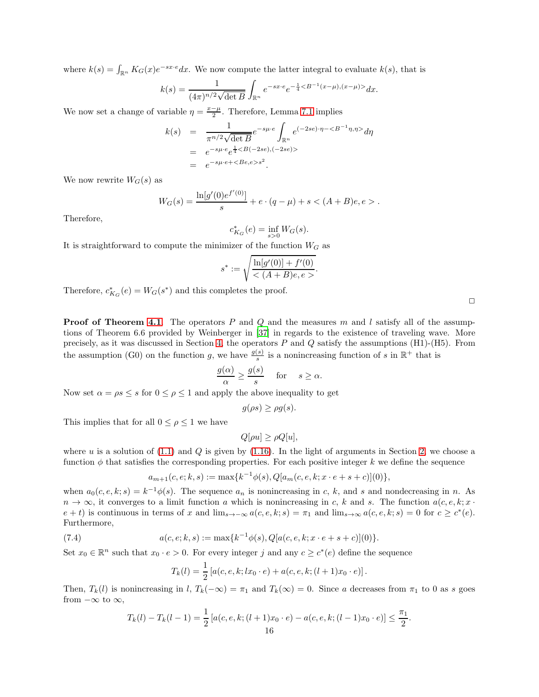where  $k(s) = \int_{\mathbb{R}^n} K_G(x) e^{-sx \cdot e} dx$ . We now compute the latter integral to evaluate  $k(s)$ , that is

$$
k(s) = \frac{1}{(4\pi)^{n/2}\sqrt{\det B}} \int_{\mathbb{R}^n} e^{-sx \cdot e} e^{-\frac{1}{4} \langle B^{-1}(x-\mu), (x-\mu) \rangle} dx.
$$

We now set a change of variable  $\eta = \frac{x-\mu}{2}$ . Therefore, Lemma [7.1](#page-12-4) implies

$$
k(s) = \frac{1}{\pi^{n/2} \sqrt{\det B}} e^{-s\mu \cdot e} \int_{\mathbb{R}^n} e^{(-2se)\cdot \eta - \langle B^{-1}\eta, \eta \rangle} d\eta
$$
  
=  $e^{-s\mu \cdot e} e^{\frac{1}{4} \langle B(-2se), (-2se) \rangle}$   
=  $e^{-s\mu \cdot e + \langle Be, e \rangle s^2}$ .

We now rewrite  $W_G(s)$  as

$$
W_G(s) = \frac{\ln[g'(0)e^{f'(0)}]}{s} + e \cdot (q - \mu) + s < (A + B)e, e > .
$$

Therefore,

 $c_{K_G}^*(e) = \inf_{s>0} W_G(s).$ 

It is straightforward to compute the minimizer of the function  $W_G$  as

$$
s^* := \sqrt{\frac{\ln[g'(0)] + f'(0)}{h(A+B)e, e}},
$$

Therefore,  $c_{K_G}^*(e) = W_G(s^*)$  and this completes the proof.

**Proof of Theorem [4.1](#page-8-2).** The operators P and Q and the measures m and l satisfy all of the assumptions of Theorem 6.6 provided by Weinberger in [\[37\]](#page-17-14) in regards to the existence of traveling wave. More precisely, as it was discussed in Section [4,](#page-7-0) the operators  $P$  and  $Q$  satisfy the assumptions (H1)-(H5). From the assumption (G0) on the function g, we have  $\frac{g(s)}{s}$  is a nonincreasing function of s in  $\mathbb{R}^+$  that is

$$
\frac{g(\alpha)}{\alpha} \ge \frac{g(s)}{s} \quad \text{ for } \quad s \ge \alpha.
$$

Now set  $\alpha = \rho s \leq s$  for  $0 \leq \rho \leq 1$  and apply the above inequality to get

$$
g(\rho s) \ge \rho g(s).
$$

This implies that for all  $0 \leq \rho \leq 1$  we have

$$
Q[\rho u] \ge \rho Q[u],
$$

where u is a solution of  $(1.1)$  and Q is given by  $(1.16)$ . In the light of arguments in Section [2,](#page-2-0) we choose a function  $\phi$  that satisfies the corresponding properties. For each positive integer k we define the sequence

$$
a_{m+1}(c,e;k,s) := \max\{k^{-1}\phi(s), Q[a_m(c,e,k;x \cdot e + s + c)](0)\},\,
$$

when  $a_0(c, e, k; s) = k^{-1}\phi(s)$ . The sequence  $a_n$  is nonincreasing in c, k, and s and nondecreasing in n. As  $n \to \infty$ , it converges to a limit function a which is nonincreasing in c, k and s. The function  $a(c, e, k; x \cdot k)$  $e + t$ ) is continuous in terms of x and  $\lim_{s\to -\infty} a(c, e, k; s) = \pi_1$  and  $\lim_{s\to \infty} a(c, e, k; s) = 0$  for  $c \ge c^*(e)$ . Furthermore,

(7.4) 
$$
a(c, e; k, s) := \max\{k^{-1}\phi(s), Q[a(c, e, k; x \cdot e + s + c)](0)\}.
$$

Set  $x_0 \in \mathbb{R}^n$  such that  $x_0 \cdot e > 0$ . For every integer j and any  $c \geq c^*(e)$  define the sequence

<span id="page-15-0"></span>
$$
T_k(l) = \frac{1}{2} [a(c, e, k; lx_0 \cdot e) + a(c, e, k; (l+1)x_0 \cdot e)].
$$

Then,  $T_k(l)$  is nonincreasing in l,  $T_k(-\infty) = \pi_1$  and  $T_k(\infty) = 0$ . Since a decreases from  $\pi_1$  to 0 as s goes from  $-\infty$  to  $\infty$ ,

$$
T_k(l) - T_k(l-1) = \frac{1}{2} [a(c, e, k; (l+1)x_0 \cdot e) - a(c, e, k; (l-1)x_0 \cdot e)] \le \frac{\pi_1}{2}.
$$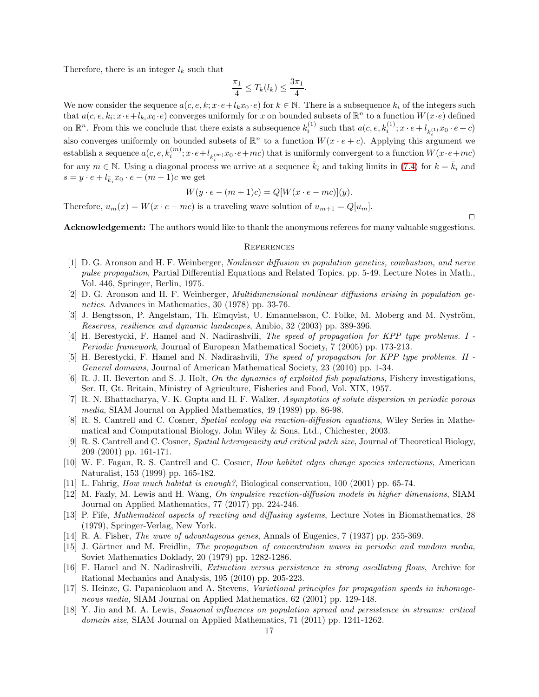Therefore, there is an integer  $l_k$  such that

$$
\frac{\pi_1}{4} \le T_k(l_k) \le \frac{3\pi_1}{4}.
$$

We now consider the sequence  $a(c, e, k; x \cdot e+l_kx_0 \cdot e)$  for  $k \in \mathbb{N}$ . There is a subsequence  $k_i$  of the integers such that  $a(c, e, k_i; x \cdot e + l_{k_i}x_0 \cdot e)$  converges uniformly for x on bounded subsets of  $\mathbb{R}^n$  to a function  $W(x \cdot e)$  defined on  $\mathbb{R}^n$ . From this we conclude that there exists a subsequence  $k_i^{(1)}$  such that  $a(c, e, k_i^{(1)}; x \cdot e + l_{k_i^{(1)}} x_0 \cdot e + c)$ also converges uniformly on bounded subsets of  $\mathbb{R}^n$  to a function  $W(x \cdot e + c)$ . Applying this argument we establish a sequence  $a(c, e, k_i^{(m)}; x \cdot e + l_{k_i^{(m)}} x_0 \cdot e + mc)$  that is uniformly convergent to a function  $W(x \cdot e + mc)$ for any  $m \in \mathbb{N}$ . Using a diagonal process we arrive at a sequence  $\bar{k}_i$  and taking limits in [\(7.4\)](#page-15-0) for  $k = \bar{k}_i$  and  $s = y \cdot e + l_{\bar{k}_i} x_0 \cdot e - (m+1)c$  we get

$$
W(y \cdot e - (m+1)c) = Q[W(x \cdot e - mc)](y).
$$

Therefore,  $u_m(x) = W(x \cdot e - mc)$  is a traveling wave solution of  $u_{m+1} = Q[u_m]$ .

 $\Box$ 

Acknowledgement: The authors would like to thank the anonymous referees for many valuable suggestions.

## **REFERENCES**

- <span id="page-16-2"></span>[1] D. G. Aronson and H. F. Weinberger, Nonlinear diffusion in population genetics, combustion, and nerve pulse propagation, Partial Differential Equations and Related Topics. pp. 5-49. Lecture Notes in Math., Vol. 446, Springer, Berlin, 1975.
- <span id="page-16-3"></span>[2] D. G. Aronson and H. F. Weinberger, Multidimensional nonlinear diffusions arising in population genetics. Advances in Mathematics, 30 (1978) pp. 33-76.
- [3] J. Bengtsson, P. Angelstam, Th. Elmqvist, U. Emanuelsson, C. Folke, M. Moberg and M. Nyström, Reserves, resilience and dynamic landscapes, Ambio, 32 (2003) pp. 389-396.
- <span id="page-16-8"></span>[4] H. Berestycki, F. Hamel and N. Nadirashvili, The speed of propagation for KPP type problems. I - Periodic framework, Journal of European Mathematical Society, 7 (2005) pp. 173-213.
- <span id="page-16-9"></span>[5] H. Berestycki, F. Hamel and N. Nadirashvili, The speed of propagation for KPP type problems. II - General domains, Journal of American Mathematical Society, 23 (2010) pp. 1-34.
- <span id="page-16-7"></span> $[6]$  R. J. H. Beverton and S. J. Holt, On the dynamics of exploited fish populations, Fishery investigations, Ser. II, Gt. Britain, Ministry of Agriculture, Fisheries and Food, Vol. XIX, 1957.
- [7] R. N. Bhattacharya, V. K. Gupta and H. F. Walker, Asymptotics of solute dispersion in periodic porous media, SIAM Journal on Applied Mathematics, 49 (1989) pp. 86-98.
- <span id="page-16-5"></span>[8] R. S. Cantrell and C. Cosner, Spatial ecology via reaction-diffusion equations, Wiley Series in Mathematical and Computational Biology. John Wiley & Sons, Ltd., Chichester, 2003.
- <span id="page-16-10"></span>[9] R. S. Cantrell and C. Cosner, Spatial heterogeneity and critical patch size, Journal of Theoretical Biology, 209 (2001) pp. 161-171.
- [10] W. F. Fagan, R. S. Cantrell and C. Cosner, How habitat edges change species interactions, American Naturalist, 153 (1999) pp. 165-182.
- [11] L. Fahrig, How much habitat is enough?, Biological conservation, 100 (2001) pp. 65-74.
- <span id="page-16-0"></span>[12] M. Fazly, M. Lewis and H. Wang, On impulsive reaction-diffusion models in higher dimensions, SIAM Journal on Applied Mathematics, 77 (2017) pp. 224-246.
- <span id="page-16-6"></span>[13] P. Fife, Mathematical aspects of reacting and diffusing systems, Lecture Notes in Biomathematics, 28 (1979), Springer-Verlag, New York.
- <span id="page-16-1"></span>[14] R. A. Fisher, The wave of advantageous genes, Annals of Eugenics, 7 (1937) pp. 255-369.
- <span id="page-16-12"></span>[15] J. Gärtner and M. Freidlin, The propagation of concentration waves in periodic and random media, Soviet Mathematics Doklady, 20 (1979) pp. 1282-1286.
- [16] F. Hamel and N. Nadirashvili, Extinction versus persistence in strong oscillating flows, Archive for Rational Mechanics and Analysis, 195 (2010) pp. 205-223.
- <span id="page-16-11"></span>[17] S. Heinze, G. Papanicolaou and A. Stevens, Variational principles for propagation speeds in inhomogeneous media, SIAM Journal on Applied Mathematics, 62 (2001) pp. 129-148.
- <span id="page-16-4"></span>[18] Y. Jin and M. A. Lewis, Seasonal influences on population spread and persistence in streams: critical domain size, SIAM Journal on Applied Mathematics, 71 (2011) pp. 1241-1262.